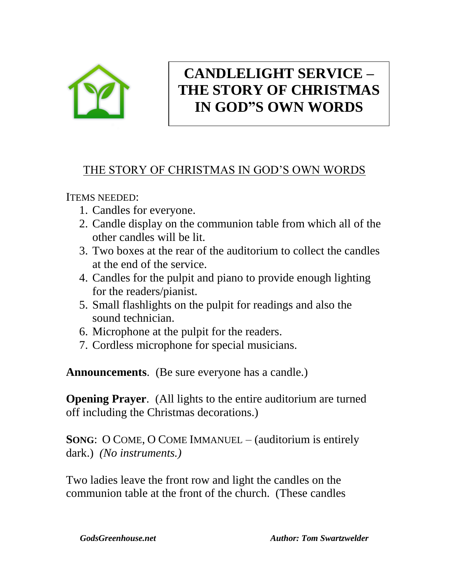

# **CANDLELIGHT SERVICE – THE STORY OF CHRISTMAS IN GOD"S OWN WORDS**

## THE STORY OF CHRISTMAS IN GOD'S OWN WORDS

ITEMS NEEDED:

- 1. Candles for everyone.
- 2. Candle display on the communion table from which all of the other candles will be lit.
- 3. Two boxes at the rear of the auditorium to collect the candles at the end of the service.
- 4. Candles for the pulpit and piano to provide enough lighting for the readers/pianist.
- 5. Small flashlights on the pulpit for readings and also the sound technician.
- 6. Microphone at the pulpit for the readers.
- 7. Cordless microphone for special musicians.

**Announcements**. (Be sure everyone has a candle.)

**Opening Prayer.** (All lights to the entire auditorium are turned off including the Christmas decorations.)

**SONG**: O COME, O COME IMMANUEL – (auditorium is entirely dark.) *(No instruments.)*

Two ladies leave the front row and light the candles on the communion table at the front of the church. (These candles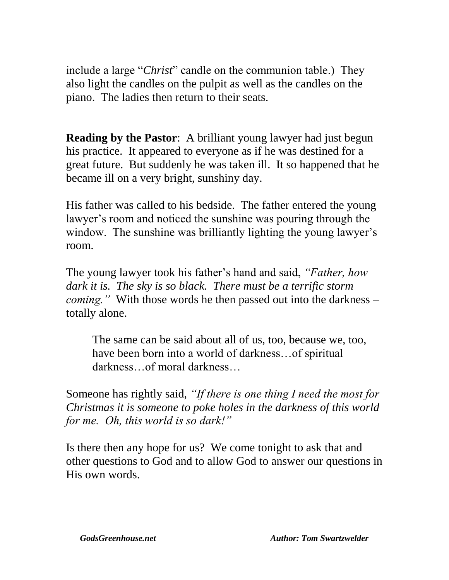include a large "*Christ*" candle on the communion table.) They also light the candles on the pulpit as well as the candles on the piano. The ladies then return to their seats.

**Reading by the Pastor:** A brilliant young lawyer had just begun his practice. It appeared to everyone as if he was destined for a great future. But suddenly he was taken ill. It so happened that he became ill on a very bright, sunshiny day.

His father was called to his bedside. The father entered the young lawyer's room and noticed the sunshine was pouring through the window. The sunshine was brilliantly lighting the young lawyer's room.

The young lawyer took his father's hand and said, *"Father, how dark it is. The sky is so black. There must be a terrific storm coming."* With those words he then passed out into the darkness – totally alone.

The same can be said about all of us, too, because we, too, have been born into a world of darkness…of spiritual darkness…of moral darkness…

Someone has rightly said, *"If there is one thing I need the most for Christmas it is someone to poke holes in the darkness of this world for me. Oh, this world is so dark!"*

Is there then any hope for us? We come tonight to ask that and other questions to God and to allow God to answer our questions in His own words.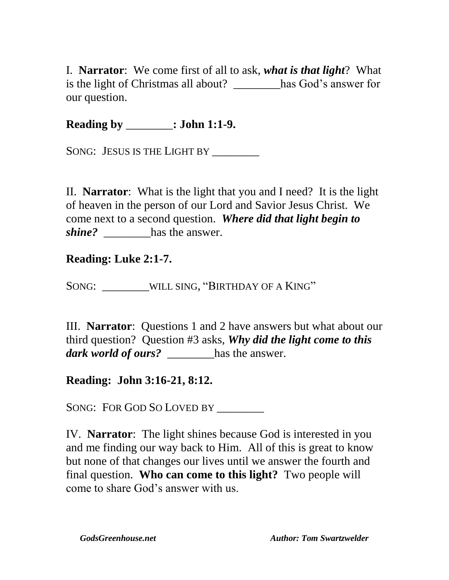I. **Narrator**: We come first of all to ask, *what is that light*? What is the light of Christmas all about? \_\_\_\_\_\_\_\_has God's answer for our question.

**Reading by** \_\_\_\_\_\_\_\_**: John 1:1-9.**

SONG: JESUS IS THE LIGHT BY

II. **Narrator**: What is the light that you and I need? It is the light of heaven in the person of our Lord and Savior Jesus Christ. We come next to a second question. *Where did that light begin to shine?* has the answer.

#### **Reading: Luke 2:1-7.**

SONG: WILL SING, "BIRTHDAY OF A KING"

III. **Narrator**: Questions 1 and 2 have answers but what about our third question? Question #3 asks, *Why did the light come to this dark world of ours?* has the answer.

#### **Reading: John 3:16-21, 8:12.**

SONG: FOR GOD SO LOVED BY

IV. **Narrator**: The light shines because God is interested in you and me finding our way back to Him. All of this is great to know but none of that changes our lives until we answer the fourth and final question. **Who can come to this light?** Two people will come to share God's answer with us.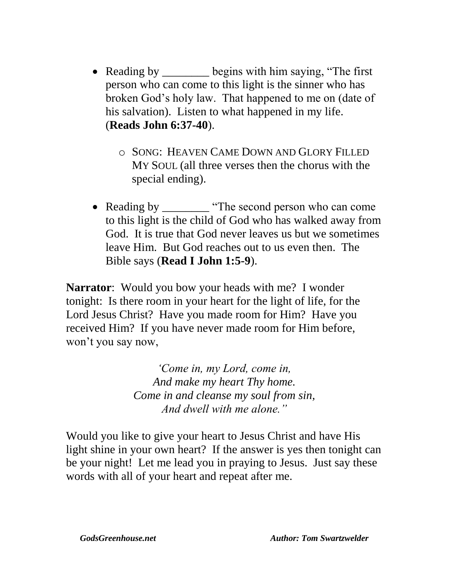- Reading by \_\_\_\_\_\_\_\_ begins with him saying, "The first" person who can come to this light is the sinner who has broken God's holy law. That happened to me on (date of his salvation). Listen to what happened in my life. (**Reads John 6:37-40**).
	- o SONG: HEAVEN CAME DOWN AND GLORY FILLED MY SOUL (all three verses then the chorus with the special ending).
- Reading by \_\_\_\_\_\_\_\_ "The second person who can come to this light is the child of God who has walked away from God. It is true that God never leaves us but we sometimes leave Him. But God reaches out to us even then. The Bible says (**Read I John 1:5-9**).

**Narrator**: Would you bow your heads with me? I wonder tonight: Is there room in your heart for the light of life, for the Lord Jesus Christ? Have you made room for Him? Have you received Him? If you have never made room for Him before, won't you say now,

> *'Come in, my Lord, come in, And make my heart Thy home. Come in and cleanse my soul from sin, And dwell with me alone."*

Would you like to give your heart to Jesus Christ and have His light shine in your own heart? If the answer is yes then tonight can be your night! Let me lead you in praying to Jesus. Just say these words with all of your heart and repeat after me.